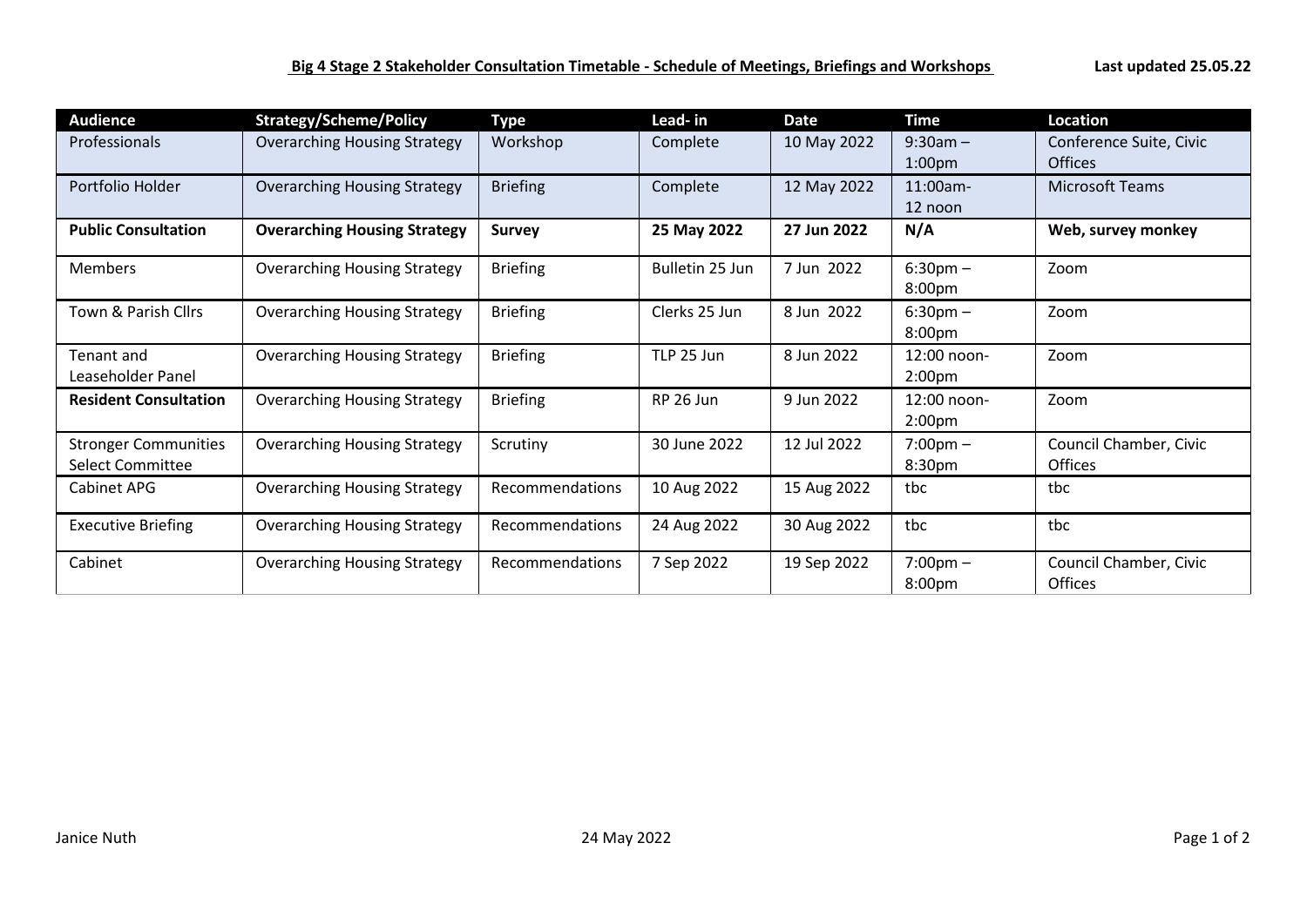| <b>Audience</b>                                 | <b>Strategy/Scheme/Policy</b>       | <b>Type</b>     | Lead-in         | <b>Date</b> | <b>Time</b>                       | <b>Location</b>                           |
|-------------------------------------------------|-------------------------------------|-----------------|-----------------|-------------|-----------------------------------|-------------------------------------------|
| <b>Professionals</b>                            | <b>Overarching Housing Strategy</b> | Workshop        | Complete        | 10 May 2022 | $9:30am -$<br>1:00 <sub>pm</sub>  | Conference Suite, Civic<br><b>Offices</b> |
| Portfolio Holder                                | <b>Overarching Housing Strategy</b> | <b>Briefing</b> | Complete        | 12 May 2022 | 11:00am-<br>12 noon               | <b>Microsoft Teams</b>                    |
| <b>Public Consultation</b>                      | <b>Overarching Housing Strategy</b> | <b>Survey</b>   | 25 May 2022     | 27 Jun 2022 | N/A                               | Web, survey monkey                        |
| <b>Members</b>                                  | <b>Overarching Housing Strategy</b> | <b>Briefing</b> | Bulletin 25 Jun | 7 Jun 2022  | $6:30 \text{pm} -$<br>8:00pm      | Zoom                                      |
| Town & Parish Cllrs                             | <b>Overarching Housing Strategy</b> | <b>Briefing</b> | Clerks 25 Jun   | 8 Jun 2022  | $6:30 \text{pm} -$<br>8:00pm      | Zoom                                      |
| Tenant and<br>Leaseholder Panel                 | <b>Overarching Housing Strategy</b> | <b>Briefing</b> | TLP 25 Jun      | 8 Jun 2022  | 12:00 noon-<br>2:00 <sub>pm</sub> | Zoom                                      |
| <b>Resident Consultation</b>                    | <b>Overarching Housing Strategy</b> | <b>Briefing</b> | RP 26 Jun       | 9 Jun 2022  | 12:00 noon-<br>2:00 <sub>pm</sub> | Zoom                                      |
| <b>Stronger Communities</b><br>Select Committee | <b>Overarching Housing Strategy</b> | Scrutiny        | 30 June 2022    | 12 Jul 2022 | $7:00 \text{pm} -$<br>8:30pm      | Council Chamber, Civic<br><b>Offices</b>  |
| Cabinet APG                                     | <b>Overarching Housing Strategy</b> | Recommendations | 10 Aug 2022     | 15 Aug 2022 | tbc                               | tbc                                       |
| <b>Executive Briefing</b>                       | <b>Overarching Housing Strategy</b> | Recommendations | 24 Aug 2022     | 30 Aug 2022 | tbc                               | tbc                                       |
| Cabinet                                         | <b>Overarching Housing Strategy</b> | Recommendations | 7 Sep 2022      | 19 Sep 2022 | $7:00 \text{pm} -$<br>8:00pm      | Council Chamber, Civic<br>Offices         |